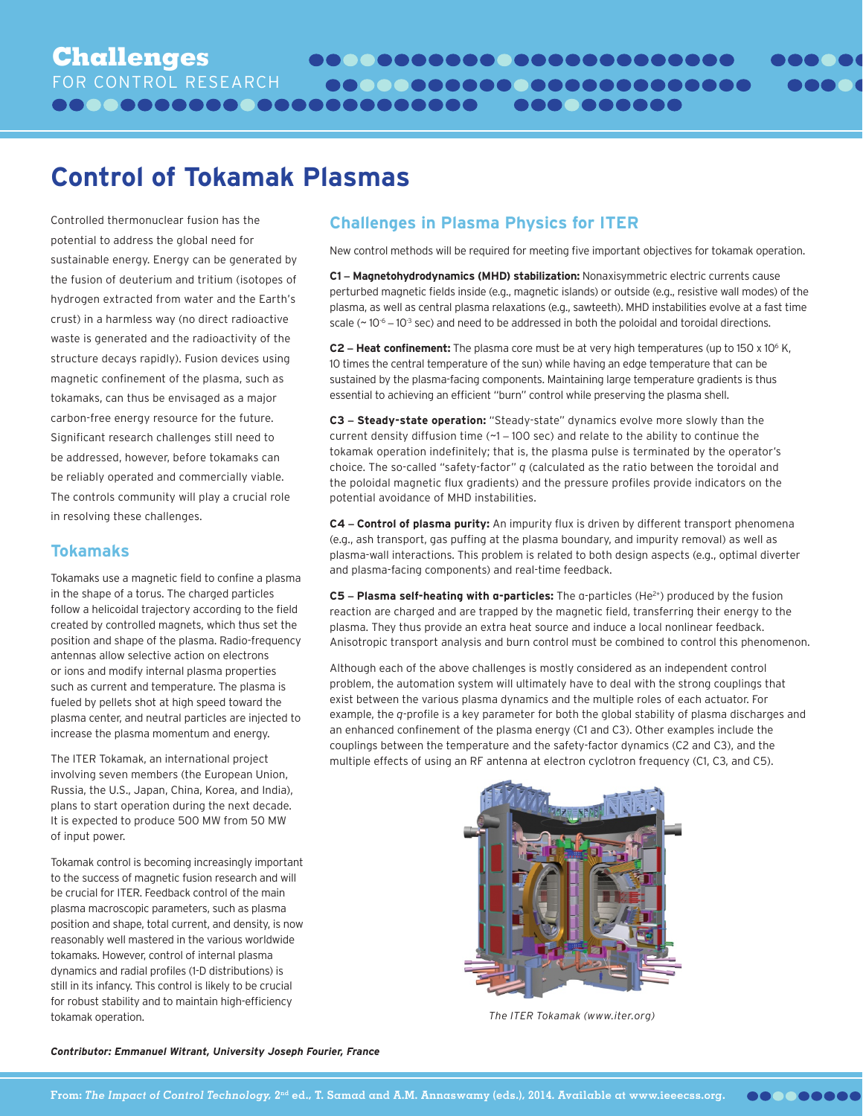# **Control of Tokamak Plasmas**

Controlled thermonuclear fusion has the potential to address the global need for sustainable energy. Energy can be generated by the fusion of deuterium and tritium (isotopes of hydrogen extracted from water and the Earth's crust) in a harmless way (no direct radioactive waste is generated and the radioactivity of the structure decays rapidly). Fusion devices using magnetic confinement of the plasma, such as tokamaks, can thus be envisaged as a major carbon-free energy resource for the future. Significant research challenges still need to be addressed, however, before tokamaks can be reliably operated and commercially viable. The controls community will play a crucial role in resolving these challenges.

#### **Tokamaks**

Tokamaks use a magnetic field to confine a plasma in the shape of a torus. The charged particles follow a helicoidal trajectory according to the field created by controlled magnets, which thus set the position and shape of the plasma. Radio-frequency antennas allow selective action on electrons or ions and modify internal plasma properties such as current and temperature. The plasma is fueled by pellets shot at high speed toward the plasma center, and neutral particles are injected to increase the plasma momentum and energy.

The ITER Tokamak, an international project involving seven members (the European Union, Russia, the U.S., Japan, China, Korea, and India), plans to start operation during the next decade. It is expected to produce 500 MW from 50 MW of input power.

Tokamak control is becoming increasingly important to the success of magnetic fusion research and will be crucial for ITER. Feedback control of the main plasma macroscopic parameters, such as plasma position and shape, total current, and density, is now reasonably well mastered in the various worldwide tokamaks. However, control of internal plasma dynamics and radial profiles (1-D distributions) is still in its infancy. This control is likely to be crucial for robust stability and to maintain high-efficiency tokamak operation.

## **Challenges in Plasma Physics for ITER**

New control methods will be required for meeting five important objectives for tokamak operation.

**COO COOOOO** 

**C1 – Magnetohydrodynamics (MHD) stabilization:** Nonaxisymmetric electric currents cause perturbed magnetic fields inside (e.g., magnetic islands) or outside (e.g., resistive wall modes) of the plasma, as well as central plasma relaxations (e.g., sawteeth). MHD instabilities evolve at a fast time scale ( $\sim$  10<sup>-6</sup> – 10<sup>-3</sup> sec) and need to be addressed in both the poloidal and toroidal directions.

**C2 – Heat confinement:** The plasma core must be at very high temperatures (up to 150 x 106 K, 10 times the central temperature of the sun) while having an edge temperature that can be sustained by the plasma-facing components. Maintaining large temperature gradients is thus essential to achieving an efficient "burn" control while preserving the plasma shell.

**C3 – Steady-state operation:** "Steady-state" dynamics evolve more slowly than the current density diffusion time (~1 – 100 sec) and relate to the ability to continue the tokamak operation indefinitely; that is, the plasma pulse is terminated by the operator's choice. The so-called "safety-factor" *q* (calculated as the ratio between the toroidal and the poloidal magnetic flux gradients) and the pressure profiles provide indicators on the potential avoidance of MHD instabilities.

**C4 – Control of plasma purity:** An impurity flux is driven by different transport phenomena (e.g., ash transport, gas puffing at the plasma boundary, and impurity removal) as well as plasma-wall interactions. This problem is related to both design aspects (e.g., optimal diverter and plasma-facing components) and real-time feedback.

**C5 – Plasma self-heating with a-particles:** The a-particles (He<sup>2+</sup>) produced by the fusion reaction are charged and are trapped by the magnetic field, transferring their energy to the plasma. They thus provide an extra heat source and induce a local nonlinear feedback. Anisotropic transport analysis and burn control must be combined to control this phenomenon.

Although each of the above challenges is mostly considered as an independent control problem, the automation system will ultimately have to deal with the strong couplings that exist between the various plasma dynamics and the multiple roles of each actuator. For example, the *q*-profile is a key parameter for both the global stability of plasma discharges and an enhanced confinement of the plasma energy (C1 and C3). Other examples include the couplings between the temperature and the safety-factor dynamics (C2 and C3), and the multiple effects of using an RF antenna at electron cyclotron frequency (C1, C3, and C5).



*The ITER Tokamak (www.iter.org)*

*Contributor: Emmanuel Witrant, University Joseph Fourier, France*